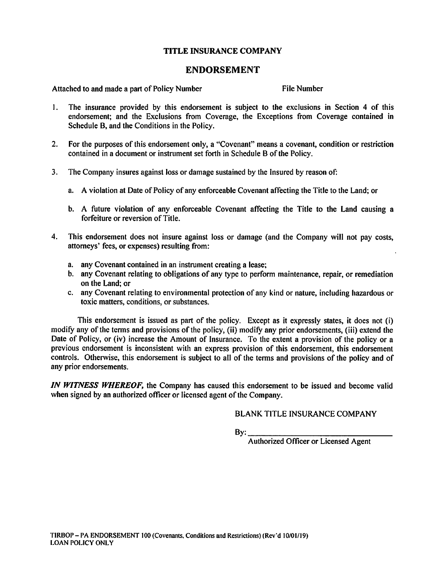# TITLE INSURANCE COMPANY

# ENDORSEMENT

Attached to and made a part of Policy Number File Number

- 1. The insurance provided by this endorsement is subject to the exclusions in Section 4 of this endorsement; and the Exclusions from Coverage, the Exceptions from Coverage contained in Schedule B, and the Conditions in the Policy.
- 2. For the purposes of this endorsement only, a "Covenant" means a covenant, condition or restriction contained in a document or instrument set forth in Schedule B of the Policy.
- 3. The Company insures against loss or damage sustained by the Insured by reason of:
	- a. A violation at Date of Policy of any enforceable Covenant affecting the Title to the Land; or
	- b. A future violation of any enforceable Covenant affecting the Title to the Land causing a forfeiture or reversion of Title.
- 4. This endorsement does not insure against loss or damage (and the Company will not pay costs, attorneys' fees, or expenses) resulting from:
	- a. any Covenant contained in an instrument creating a lease;
	- b. any Covenant relating to obligations of any type to perform maintenance, repair, or remediation on the Land; or
	- c. any Covenant relating to environmental protection of any kind or nature, including hazardous or toxic matters, conditions, or substances.

This endorsement is issued as part of the policy. Except as it expressly states, it does not (i) modify any of the terms and provisions of the policy, (ii) modify any prior endorsements, (iii) extend the Date of Policy, or (iv) increase the Amount of Insurance. To the extent a provision of the policy or a previous endorsement is inconsistent with an express provision of this endorsement, this endorsement controls. Otherwise, this endorsement is subject to all of the terms and provisions of the policy and of any prior endorsements.

IN WITNESS WHEREOF, the Company has caused this endorsement to be issued and become valid when signed by an authorized officer or licensed agent of the Company.

#### BLANK TITLE INSURANCE COMPANY

By: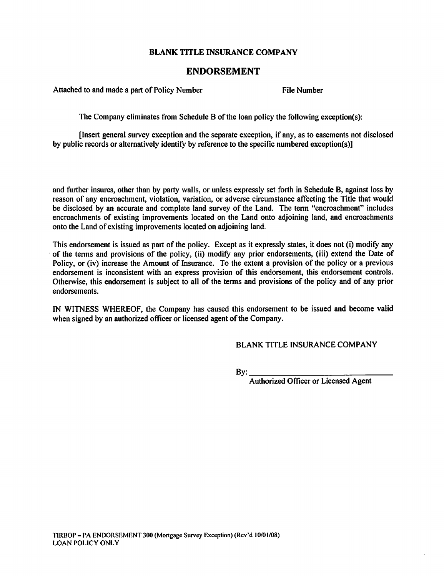## ENDORSEMENT

Attached to and made a part of Policy Number File Number

The Company eliminates from Schedule B of the loan policy the following exception(s):

[Insert general survey exception and the separate exception, if any, as to easements not disclosed by public records or alternatively identify by reference to the specific numbered exception(s)]

and further insures, other than by party walls, or unless expressly set forth in Schedule B, against loss by reason of any encroachment, violation, variation, or adverse circumstance affecting the Title that would be disclosed by an accurate and complete land survey of the Land. The term "encroachment" includes encroachments of existing improvements located on the Land onto adjoining land, and encroachments onto the Land of existing improvements located on adjoining land.

This endorsement is issued as part of the policy. Except as it expressly states, it does not (i) modify any of the terms and provisions of the policy, (ii) modify any prior endorsements, (iii) extend the Date of Policy, or (iv) increase the Amount of Insurance. To the extent a provision of the policy or a previous endorsement is inconsistent with an express provision of this endorsement, this endorsement controls. Otherwise, this endorsement is subject to all of the terms and provisions of the policy and of any prior endorsements.

IN WITNESS WHEREOF, the Company has caused this endorsement to be issued and become valid when signed by an authorized officer or licensed agent of the Company.

BLANK TITLE INSURANCE COMPANY

 $By:$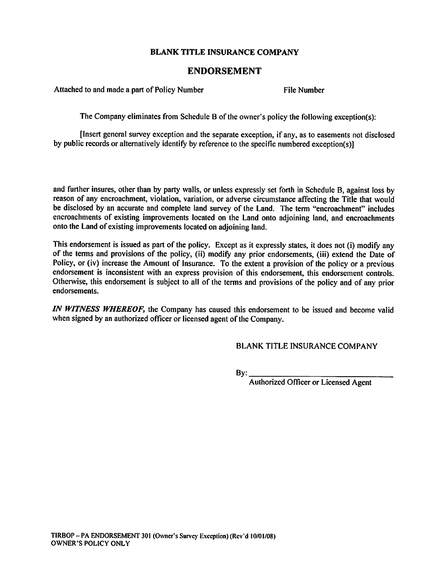## ENDORSEMENT

Attached to and made a part of Policy Number File Number

The Company eliminates from Schedule B of the owner's policy the following exception(s);

[Insert general survey exception and the separate exception, if any, as to easements not disclosed by public records or alternatively identify by reference to the specific numbered exception(s)]

and further insures, other than by party walls, or unless expressly set forth in Schedule B, against loss by reason of any encroachment, violation, variation, or adverse circumstance affecting the Title that would be disclosed by an accurate and complete land survey of the Land. The term "encroachment" includes encroachments of existing improvements located on the Land onto adjoining land, and encroachments onto the Land of existing improvements located on adjoining land.

This endorsement is issued as part of the policy. Except as it expressly states, it does not (i) modify any of the terms and provisions of the policy, (ii) modify any prior endorsements, (iii) extend the Date of Policy, or (iv) increase the Amount of Insurance. To the extent a provision of the policy or a previous endorsement is inconsistent with an express provision of this endorsement, this endorsement controls. Otherwise, this endorsement is subject to all of the terms and provisions of the policy and of any prior endorsements.

IN WITNESS WHEREOF, the Company has caused this endorsement to be issued and become valid when signed by an authorized officer or licensed agent of the Company.

BLANK TITLE INSURANCE COMPANY

By: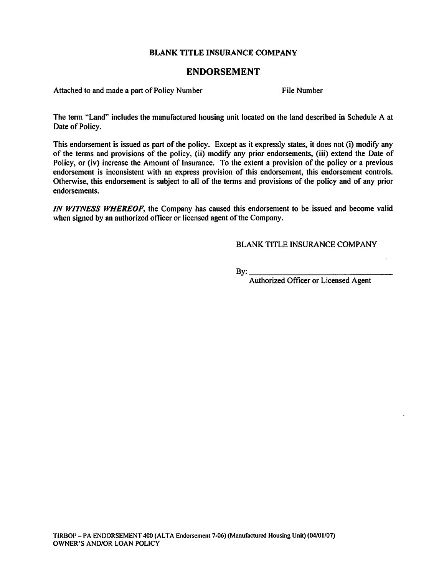## ENDORSEMENT

Attached to and made a part of Policy Number File Number

The term "Land" includes the manufactured housing unit located on the land described in Schedule A at Date of Policy.

This endorsement is issued as part of the policy. Except as it expressly states, it does not (i) modify any of the terms and provisions of the policy, (ii) modify any prior endorsements, (iii) extend the Date of Policy, or (iv) increase the Amount of Insurance. To the extent a provision of the policy or a previous endorsement is inconsistent with an express provision of this endorsement, this endorsement controls. Otherwise, this endorsement is subject to all of the terms and provisions of the policy and of any prior endorsements.

IN WITNESS WHEREOF, the Company has caused this endorsement to be issued and become valid when signed by an authorized officer or licensed agent of the Company.

BLANK TITLE INSURANCE COMPANY

 $By:$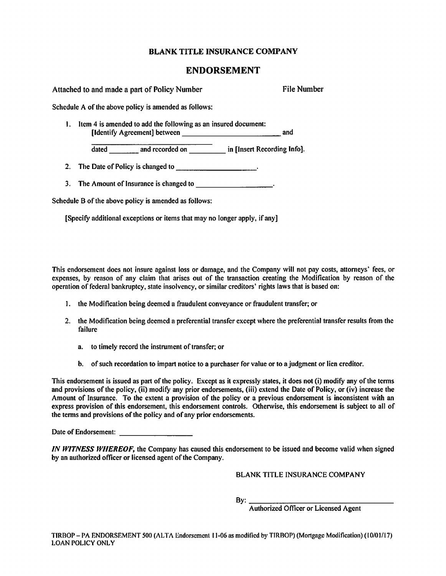#### ENDORSEMENT

Attached to and made a part of Policy Number File Number

Schedule A of the above policy is amended as follows:

1. Item 4 is amended to add the following as an insured document: [identify Agreement] between and

dated \_\_\_\_\_\_\_\_ and recorded on \_\_\_\_\_\_\_\_ in [Insert Recording Info].

- 2. The Date of Policy is changed to .
- 3. The Amount of Insurance is changed to .

Schedule B of the above policy is amended as follows:

[Specify additional exceptions or items that may no longer apply, if any]

This endorsement does not insure against loss or damage, and the Company will not pay costs, attorneys' fees, or expenses, by reason of any claim that arises out of the transaction creating the Modification by reason of the operation of federal bankruptcy, state insolvency, or similar creditors' rights laws that is based on:

- 1. the Modification being deemed a fraudulent conveyance or fraudulent transfer; or
- 2. the Modification being deemed a preferential transfer except where the preferential transfer results from the failure
	- a. to timely record the instrument of transfer; or
	- b. of such recordation to impart notice to a purchaser for value or to a judgment or lien creditor.

This endorsement is issued as part of the policy. Except as it expressly states, it does not (i) modify any of the terms and provisions of the policy, (ii) modify any prior endorsements, (iii) extend the Date of Policy, or (iv) increase the Amount of Insurance. To the extent a provision of the policy or a previous endorsement is inconsistent with an express provision of this endorsement, this endorsement controls. Otherwise, this endorsement is subject to all of the terms and provisions of the policy and of any prior endorsements.

Date of Endorsement:

IN WITNESS WHEREOF, the Company has caused this endorsement to be issued and become valid when signed by an authorized officer or licensed agent of the Company.

BLANK TITLE INSURANCE COMPANY

By: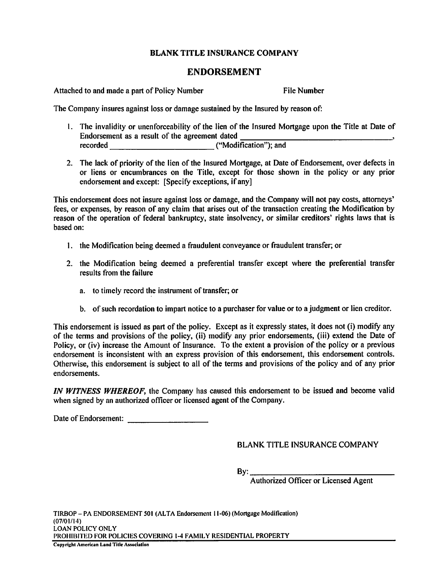# ENDORSEMENT

Attached to and made a part of Policy Number File Number

The Company insures against loss or damage sustained by the Insured by reason of:

- 1. The invalidity or unenforceability of the lien of the Insured Mortgage upon the Title at Date of Endorsement as a result of the agreement dated<br>recorded ("Modi recorded ("Modification"); and
- 2. The lack of priority of the lien of the Insured Mortgage, at Date of Endorsement, over defects in or liens or encumbrances on the Title, exeept for those shown in the policy or any prior endorsement and except: [Specify exceptions, if any]

This endorsement does not insure against loss or damage, and the Company will not pay costs, attorneys' fees, or expenses, by reason of any claim that arises out of the transaction creating the Modification by reason of the operation of federal bankruptcy, state insolvency, or similar creditors' rights laws that is based on:

- 1. the Modification being deemed a fraudulent conveyance or fraudulent transfer; or
- 2. the Modification being deemed a preferential transfer except where the preferential transfer results from the failure
	- a. to timely record the instrument of transfer; or
	- b. of such recordation to impart notice to a purchaser for value or to a judgment or lien creditor.

This endorsement is issued as part of the policy. Except as it expressly states, it does not (i) modify any of the terms and provisions of the policy, (ii) modify any prior endorsements, (iii) extend the Date of Policy, or (iv) increase the Amount of Insurance. To the extent a provision of the policy or a previous endorsement is inconsistent with an express provision of this endorsement, this endorsement controls. Otherwise, this endorsement is subject to all of the terms and provisions of the policy and of any prior endorsements.

IN WITNESS WHEREOF, the Company has caused this endorsement to be issued and become valid when signed by an authorized officer or licensed agent of the Company.

Date of Endorsement:

BLANK TITLE INSURANCE COMPANY

 $By:$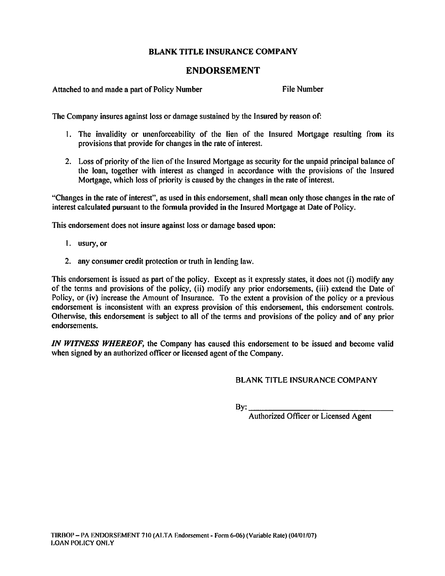# ENDORSEMENT

Attached to and made a part of Policy Number File Number

The Company insures against loss or damage sustained by the Insured by reason of:

- 1. The invalidity or unenforceability of the lien of the Insured Mortgage resulting from its provisions that provide for changes in the rate of interest.
- 2. Loss of priority of the lien of the Insured Mortgage as security for the unpaid principal balance of the loan, together with interest as changed in accordance with the provisions of the Insured Mortgage, which loss of priority is caused by the changes in the rate of interest.

"Changes in the rate of interest", as used in this endorsement, shall mean only those changes in the rate of interest calculated pursuant to the formula provided in the Insured Mortgage at Date of Policy.

This endorsement does not insure against loss or damage based upon:

- 1. usury, or
- 2. any consumer credit protection or truth in lending law.

This endorsement is issued as part of the policy. Except as it expressly states, it docs not (i) modify any of the tenns and provisions of the policy, (ii) modify any prior endorsements, (iii) extend the Date of Policy, or (iv) increase the Amount of Insurance. To the extent a provision of the policy or a previous endorsement is inconsistent with an express provision of this endorsement, this endorsement controls. Otherwise, this endorsement is subject to all of the terms and provisions of the policy and of any prior endorsements.

IN WITNESS WHEREOF, the Company has caused this endorsement to be issued and become valid when signed by an authorized officer or licensed agent of the Company.

BLANK TITLE INSURANCE COMPANY

 $By:$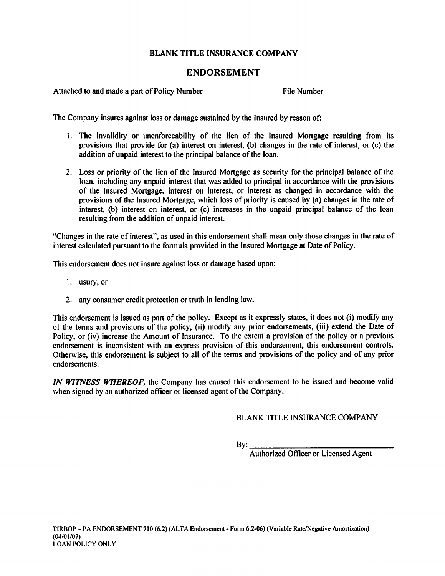# **ENDORSEMENT**

Attached to and made a part of Policy Number

**File Number** 

The Company insures against loss or damage sustained by the Insured by reason of:

- 1. The invalidity or unenforceability of the lien of the Insured Mortgage resulting from its provisions that provide for (a) interest on interest, (b) changes in the rate of interest, or (c) the addition of unpaid interest to the principal balance of the loan.
- 2. Loss or priority of the lien of the Insured Mortgage as security for the principal balance of the loan, including any unpaid interest that was added to principal in accordance with the provisions of the Insured Mortgage, interest on interest, or interest as changed in accordance with the provisions of the Insured Mortgage, which loss of priority is caused by (a) changes in the rate of interest, (b) interest on interest, or (c) increases in the unpaid principal balance of the loan resulting from the addition of unpaid interest.

"Changes in the rate of interest", as used in this endorsement shall mean only those changes in the rate of interest calculated pursuant to the formula provided in the Insured Mortgage at Date of Policy.

This endorsement does not insure against loss or damage based upon:

- 1. usury, or
- 2. any consumer credit protection or truth in lending law.

This endorsement is issued as part of the policy. Except as it expressly states, it does not (i) modify any of the terms and provisions of the policy, (ii) modify any prior endorsements, (iii) extend the Date of Policy, or (iv) increase the Amount of Insurance. To the extent a provision of the policy or a previous endorsement is inconsistent with an express provision of this endorsement, this endorsement controls. Otherwise, this endorsement is subject to all of the terms and provisions of the policy and of any prior endorsements.

IN WITNESS WHEREOF, the Company has caused this endorsement to be issued and become valid when signed by an authorized officer or licensed agent of the Company.

**BLANK TITLE INSURANCE COMPANY** 

 $Bv:$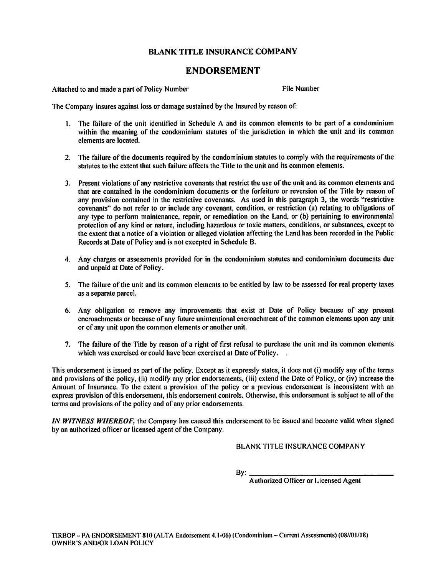## **ENDORSEMENT**

Attached to and made a part of Policy Number

**File Number** 

The Company insures against loss or damage sustained by the Insured by reason of:

- 1. The failure of the unit identified in Schedule A and its common elements to be part of a condominium within the meaning of the condominium statutes of the jurisdiction in which the unit and its common elements are located.
- 2. The failure of the documents required by the condominium statutes to comply with the requirements of the statutes to the extent that such failure affects the Title to the unit and its common elements.
- 3. Present violations of any restrictive covenants that restrict the use of the unit and its common elements and that are contained in the condominium documents or the forfeiture or reversion of the Title by reason of any provision contained in the restrictive covenants. As used in this paragraph 3, the words "restrictive covenants" do not refer to or include any covenant, condition, or restriction (a) relating to obligations of any type to perform maintenance, repair, or remediation on the Land, or (b) pertaining to environmental protection of any kind or nature, including hazardous or toxic matters, conditions, or substances, except to the extent that a notice of a violation or alleged violation affecting the Land has been recorded in the Public Records at Date of Policy and is not excepted in Schedule B.
- 4. Any charges or assessments provided for in the condominium statutes and condominium documents due and unpaid at Date of Policy.
- 5. The failure of the unit and its common elements to be entitled by law to be assessed for real property taxes as a separate parcel.
- 6. Any obligation to remove any improvements that exist at Date of Policy because of any present encroachments or because of any future unintentional encroachment of the common elements upon any unit or of any unit upon the common elements or another unit.
- 7. The failure of the Title by reason of a right of first refusal to purchase the unit and its common elements which was exercised or could have been exercised at Date of Policy.

This endorsement is issued as part of the policy. Except as it expressly states, it does not (i) modify any of the terms and provisions of the policy, (ii) modify any prior endorsements, (iii) extend the Date of Policy, or (iv) increase the Amount of Insurance. To the extent a provision of the policy or a previous endorsement is inconsistent with an express provision of this endorsement, this endorsement controls. Otherwise, this endorsement is subject to all of the terms and provisions of the policy and of any prior endorsements.

IN WITNESS WHEREOF, the Company has caused this endorsement to be issued and become valid when signed by an authorized officer or licensed agent of the Company.

**BLANK TITLE INSURANCE COMPANY** 

 $By:$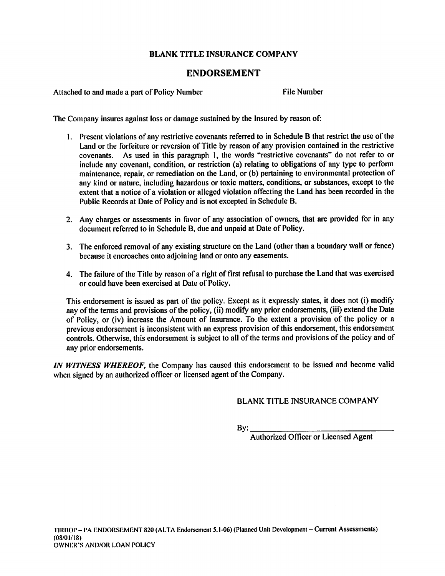## **ENDORSEMENT**

Attached to and made a part of Policy Number

**File Number** 

The Company insures against loss or damage sustained by the Insured by reason of:

- 1. Present violations of any restrictive covenants referred to in Schedule B that restrict the use of the Land or the forfeiture or reversion of Title by reason of any provision contained in the restrictive As used in this paragraph 1, the words "restrictive covenants" do not refer to or covenants. include any covenant, condition, or restriction (a) relating to obligations of any type to perform maintenance, repair, or remediation on the Land, or (b) pertaining to environmental protection of any kind or nature, including hazardous or toxic matters, conditions, or substances, except to the extent that a notice of a violation or alleged violation affecting the Land has been recorded in the Public Records at Date of Policy and is not excepted in Schedule B.
- 2. Any charges or assessments in favor of any association of owners, that are provided for in any document referred to in Schedule B, due and unpaid at Date of Policy.
- 3. The enforced removal of any existing structure on the Land (other than a boundary wall or fence) because it encroaches onto adjoining land or onto any easements.
- 4. The failure of the Title by reason of a right of first refusal to purchase the Land that was exercised or could have been exercised at Date of Policy.

This endorsement is issued as part of the policy. Except as it expressly states, it does not (i) modify any of the terms and provisions of the policy, (ii) modify any prior endorsements, (iii) extend the Date of Policy, or (iv) increase the Amount of Insurance. To the extent a provision of the policy or a previous endorsement is inconsistent with an express provision of this endorsement, this endorsement controls. Otherwise, this endorsement is subject to all of the terms and provisions of the policy and of any prior endorsements.

IN WITNESS WHEREOF, the Company has caused this endorsement to be issued and become valid when signed by an authorized officer or licensed agent of the Company.

**BLANK TITLE INSURANCE COMPANY** 

By: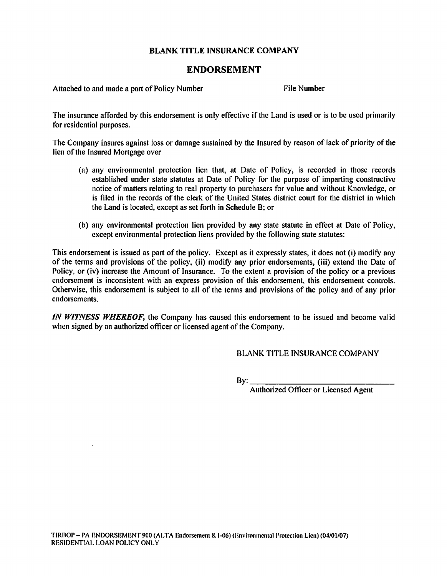# **ENDORSEMENT**

Attached to and made a part of Policy Number

**File Number** 

The insurance afforded by this endorsement is only effective if the Land is used or is to be used primarily for residential purposes.

The Company insures against loss or damage sustained by the Insured by reason of lack of priority of the lien of the Insured Mortgage over

- (a) any environmental protection lien that, at Date of Policy, is recorded in those records established under state statutes at Date of Policy for the purpose of imparting constructive notice of matters relating to real property to purchasers for value and without Knowledge, or is filed in the records of the clerk of the United States district court for the district in which the Land is located, except as set forth in Schedule B; or
- (b) any environmental protection lien provided by any state statute in effect at Date of Policy, except environmental protection liens provided by the following state statutes:

This endorsement is issued as part of the policy. Except as it expressly states, it does not (i) modify any of the terms and provisions of the policy, (ii) modify any prior endorsements, (iii) extend the Date of Policy, or (iv) increase the Amount of Insurance. To the extent a provision of the policy or a previous endorsement is inconsistent with an express provision of this endorsement, this endorsement controls. Otherwise, this endorsement is subject to all of the terms and provisions of the policy and of any prior endorsements.

IN WITNESS WHEREOF, the Company has caused this endorsement to be issued and become valid when signed by an authorized officer or licensed agent of the Company.

BLANK TITLE INSURANCE COMPANY

 $Bv:$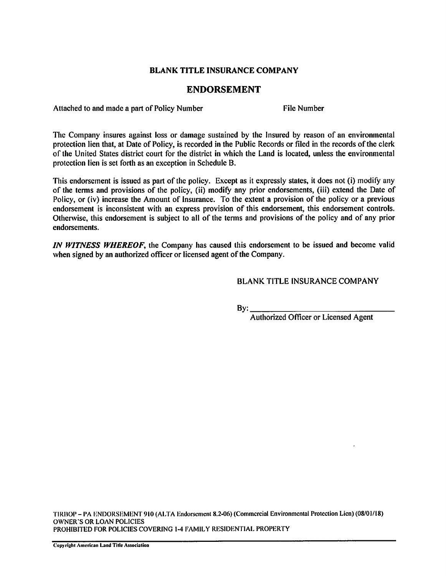## **ENDORSEMENT**

Attached to and made a part of Policy Number

**File Number** 

The Company insures against loss or damage sustained by the Insured by reason of an environmental protection lien that, at Date of Policy, is recorded in the Public Records or filed in the records of the clerk of the United States district court for the district in which the Land is located, unless the environmental protection lien is set forth as an exception in Schedule B.

This endorsement is issued as part of the policy. Except as it expressly states, it does not (i) modify any of the terms and provisions of the policy, (ii) modify any prior endorsements, (iii) extend the Date of Policy, or (iv) increase the Amount of Insurance. To the extent a provision of the policy or a previous endorsement is inconsistent with an express provision of this endorsement, this endorsement controls. Otherwise, this endorsement is subject to all of the terms and provisions of the policy and of any prior endorsements.

IN WITNESS WHEREOF, the Company has caused this endorsement to be issued and become valid when signed by an authorized officer or licensed agent of the Company.

**BLANK TITLE INSURANCE COMPANY** 

By: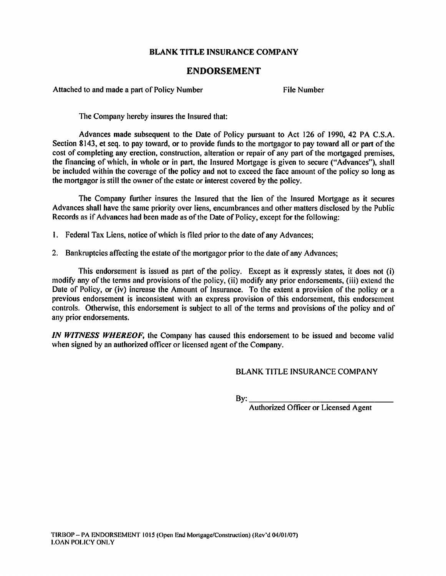### **ENDORSEMENT**

Attached to and made a part of Policy Number

**File Number** 

The Company hereby insures the Insured that:

Advances made subsequent to the Date of Policy pursuant to Act 126 of 1990, 42 PA C.S.A. Section 8143, et seq. to pay toward, or to provide funds to the mortgagor to pay toward all or part of the cost of completing any erection, construction, alteration or repair of any part of the mortgaged premises. the financing of which, in whole or in part, the Insured Mortgage is given to secure ("Advances"), shall be included within the coverage of the policy and not to exceed the face amount of the policy so long as the mortgagor is still the owner of the estate or interest covered by the policy.

The Company further insures the Insured that the lien of the Insured Mortgage as it secures Advances shall have the same priority over liens, encumbrances and other matters disclosed by the Public Records as if Advances had been made as of the Date of Policy, except for the following:

- 1. Federal Tax Liens, notice of which is filed prior to the date of any Advances;
- 2. Bankruptcies affecting the estate of the mortgagor prior to the date of any Advances;

This endorsement is issued as part of the policy. Except as it expressly states, it does not (i) modify any of the terms and provisions of the policy, (ii) modify any prior endorsements, (iii) extend the Date of Policy, or (iv) increase the Amount of Insurance. To the extent a provision of the policy or a previous endorsement is inconsistent with an express provision of this endorsement, this endorsement controls. Otherwise, this endorsement is subject to all of the terms and provisions of the policy and of any prior endorsements.

IN WITNESS WHEREOF, the Company has caused this endorsement to be issued and become valid when signed by an authorized officer or licensed agent of the Company.

**BLANK TITLE INSURANCE COMPANY** 

 $By:$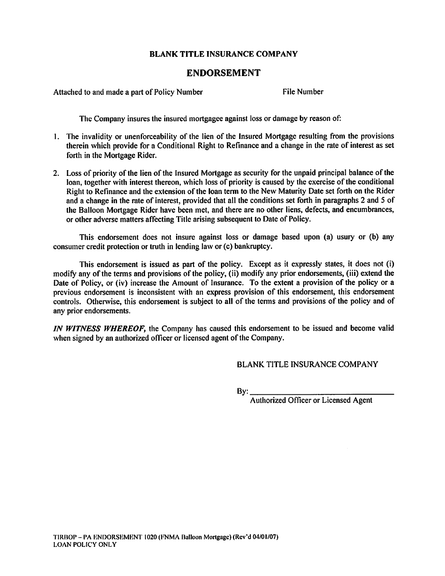## **ENDORSEMENT**

Attached to and made a part of Policy Number

**File Number** 

The Company insures the insured mortgagee against loss or damage by reason of:

- 1. The invalidity or unenforceability of the lien of the Insured Mortgage resulting from the provisions therein which provide for a Conditional Right to Refinance and a change in the rate of interest as set forth in the Mortgage Rider.
- 2. Loss of priority of the lien of the Insured Mortgage as security for the unpaid principal balance of the loan, together with interest thereon, which loss of priority is caused by the exercise of the conditional Right to Refinance and the extension of the loan term to the New Maturity Date set forth on the Rider and a change in the rate of interest, provided that all the conditions set forth in paragraphs 2 and 5 of the Balloon Mortgage Rider have been met, and there are no other liens, defects, and encumbrances, or other adverse matters affecting Title arising subsequent to Date of Policy.

This endorsement does not insure against loss or damage based upon (a) usury or (b) any consumer credit protection or truth in lending law or (c) bankruptcy.

This endorsement is issued as part of the policy. Except as it expressly states, it does not (i) modify any of the terms and provisions of the policy, (ii) modify any prior endorsements, (iii) extend the Date of Policy, or (iv) increase the Amount of Insurance. To the extent a provision of the policy or a previous endorsement is inconsistent with an express provision of this endorsement, this endorsement controls. Otherwise, this endorsement is subject to all of the terms and provisions of the policy and of any prior endorsements.

IN WITNESS WHEREOF, the Company has caused this endorsement to be issued and become valid when signed by an authorized officer or licensed agent of the Company.

**BLANK TITLE INSURANCE COMPANY** 

 $By:$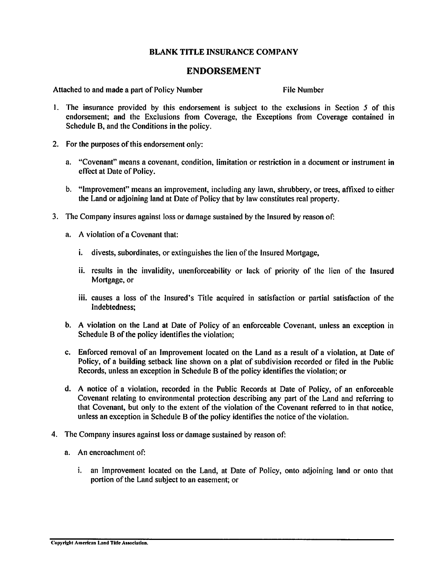### **ENDORSEMENT**

Attached to and made a part of Policy Number

**File Number** 

- 1. The insurance provided by this endorsement is subject to the exclusions in Section 5 of this endorsement; and the Exclusions from Coverage, the Exceptions from Coverage contained in Schedule B, and the Conditions in the policy.
- 2. For the purposes of this endorsement only:
	- a. "Covenant" means a covenant, condition, limitation or restriction in a document or instrument in effect at Date of Policy.
	- b. "Improvement" means an improvement, including any lawn, shrubbery, or trees, affixed to either the Land or adjoining land at Date of Policy that by law constitutes real property.
- 3. The Company insures against loss or damage sustained by the Insured by reason of:
	- a. A violation of a Covenant that:
		- i. divests, subordinates, or extinguishes the lien of the Insured Mortgage,
		- ii. results in the invalidity, unenforceability or lack of priority of the lien of the Insured Mortgage, or
		- iii. causes a loss of the Insured's Title acquired in satisfaction or partial satisfaction of the Indebtedness:
	- b. A violation on the Land at Date of Policy of an enforceable Covenant, unless an exception in Schedule B of the policy identifies the violation;
	- c. Enforced removal of an Improvement located on the Land as a result of a violation, at Date of Policy, of a building setback line shown on a plat of subdivision recorded or filed in the Public Records, unless an exception in Schedule B of the policy identifies the violation: or
	- d. A notice of a violation, recorded in the Public Records at Date of Policy, of an enforceable Covenant relating to environmental protection describing any part of the Land and referring to that Covenant, but only to the extent of the violation of the Covenant referred to in that notice, unless an exception in Schedule B of the policy identifies the notice of the violation.
- 4. The Company insures against loss or damage sustained by reason of:
	- a. An encroachment of:
		- i. an Improvement located on the Land, at Date of Policy, onto adjoining land or onto that portion of the Land subject to an easement; or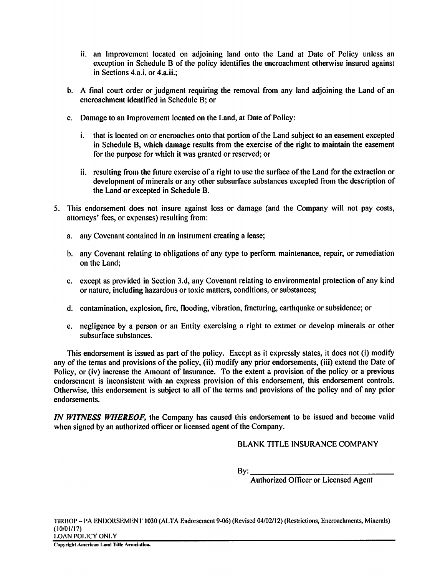- ii, an Improvement located on adioining land onto the Land at Date of Policy unless an exception in Schedule B of the policy identifies the encroachment otherwise insured against in Sections 4.a.i. or 4.a.ii.;
- b. A final court order or judgment requiring the removal from any land adjoining the Land of an encroachment identified in Schedule B: or
- c. Damage to an Improvement located on the Land, at Date of Policy:
	- i. that is located on or encroaches onto that portion of the Land subject to an easement excepted in Schedule B, which damage results from the exercise of the right to maintain the easement for the purpose for which it was granted or reserved; or
	- ii. resulting from the future exercise of a right to use the surface of the Land for the extraction or development of minerals or any other subsurface substances excepted from the description of the Land or excepted in Schedule B.
- 5. This endorsement does not insure against loss or damage (and the Company will not pay costs, attorneys' fees, or expenses) resulting from:
	- a. any Covenant contained in an instrument creating a lease;
	- b. any Covenant relating to obligations of any type to perform maintenance, repair, or remediation on the Land;
	- c. except as provided in Section 3.d, any Covenant relating to environmental protection of any kind or nature, including hazardous or toxic matters, conditions, or substances;
	- d. contamination, explosion, fire, flooding, vibration, fracturing, earthquake or subsidence; or
	- e. negligence by a person or an Entity exercising a right to extract or develop minerals or other subsurface substances.

This endorsement is issued as part of the policy. Except as it expressly states, it does not (i) modify any of the terms and provisions of the policy, (ii) modify any prior endorsements, (iii) extend the Date of Policy, or (iv) increase the Amount of Insurance. To the extent a provision of the policy or a previous endorsement is inconsistent with an express provision of this endorsement, this endorsement controls. Otherwise, this endorsement is subject to all of the terms and provisions of the policy and of any prior endorsements.

IN WITNESS WHEREOF, the Company has caused this endorsement to be issued and become valid when signed by an authorized officer or licensed agent of the Company.

**BLANK TITLE INSURANCE COMPANY** 

 $By:$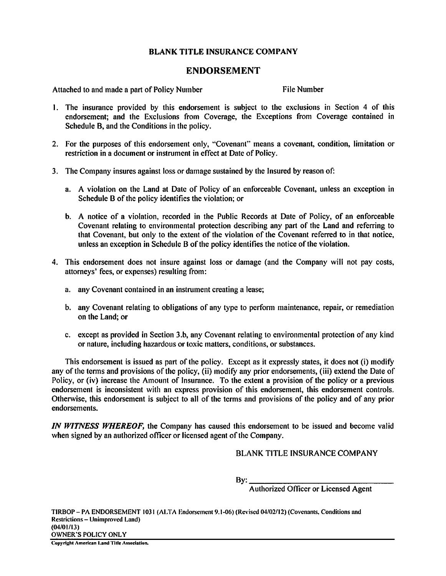## **ENDORSEMENT**

Attached to and made a part of Policy Number

**File Number** 

- 1. The insurance provided by this endorsement is subject to the exclusions in Section 4 of this endorsement; and the Exclusions from Coverage, the Exceptions from Coverage contained in Schedule B, and the Conditions in the policy.
- 2. For the purposes of this endorsement only, "Covenant" means a covenant, condition, limitation or restriction in a document or instrument in effect at Date of Policy.
- 3. The Company insures against loss or damage sustained by the Insured by reason of:
	- a. A violation on the Land at Date of Policy of an enforceable Covenant, unless an exception in Schedule B of the policy identifies the violation; or
	- b. A notice of a violation, recorded in the Public Records at Date of Policy, of an enforceable Covenant relating to environmental protection describing any part of the Land and referring to that Covenant, but only to the extent of the violation of the Covenant referred to in that notice, unless an exception in Schedule B of the policy identifies the notice of the violation.
- 4. This endorsement does not insure against loss or damage (and the Company will not pay costs, attorneys' fees, or expenses) resulting from:
	- a. any Covenant contained in an instrument creating a lease;
	- b. any Covenant relating to obligations of any type to perform maintenance, repair, or remediation on the Land; or
	- c. except as provided in Section 3.b, any Covenant relating to environmental protection of any kind or nature, including hazardous or toxic matters, conditions, or substances.

This endorsement is issued as part of the policy. Except as it expressly states, it does not (i) modify any of the terms and provisions of the policy, (ii) modify any prior endorsements, (iii) extend the Date of Policy, or (iv) increase the Amount of Insurance. To the extent a provision of the policy or a previous endorsement is inconsistent with an express provision of this endorsement, this endorsement controls. Otherwise, this endorsement is subject to all of the terms and provisions of the policy and of any prior endorsements.

IN WITNESS WHEREOF, the Company has caused this endorsement to be issued and become valid when signed by an authorized officer or licensed agent of the Company.

**BLANK TITLE INSURANCE COMPANY** 

 $By:$ 

Authorized Officer or Licensed Agent

TIRBOP - PA ENDORSEMENT 1031 (ALTA Endorsement 9.1-06) (Revised 04/02/12) (Covenants, Conditions and **Restrictions – Unimproved Land)**  $(04/01/13)$ **OWNER'S POLICY ONLY** 

Copyright American Land Title Association.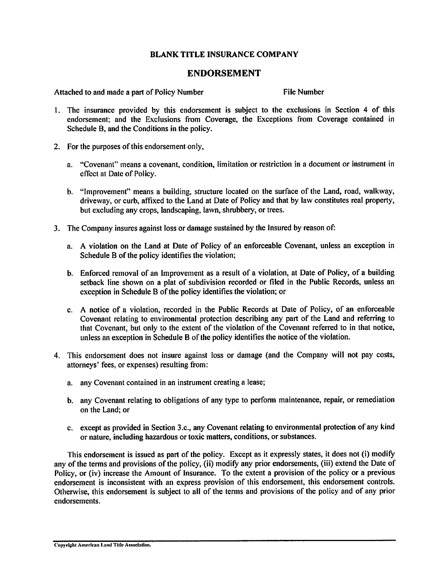### **ENDORSEMENT**

Attached to and made a part of Policy Number

**File Number** 

- 1. The insurance provided by this endorsement is subject to the exclusions in Section 4 of this endorsement: and the Exclusions from Coverage, the Exceptions from Coverage contained in Schedule B, and the Conditions in the policy.
- 2. For the purposes of this endorsement only,
	- a. "Covenant" means a covenant, condition, limitation or restriction in a document or instrument in effect at Date of Policy.
	- b. "Improvement" means a building, structure located on the surface of the Land, road, walkway, driveway, or curb, affixed to the Land at Date of Policy and that by law constitutes real property, but excluding any crops, landscaping, lawn, shrubbery, or trees.
- 3. The Company insures against loss or damage sustained by the Insured by reason of:
	- a. A violation on the Land at Date of Policy of an enforceable Covenant, unless an exception in Schedule B of the policy identifies the violation;
	- b. Enforced removal of an Improvement as a result of a violation, at Date of Policy, of a building setback line shown on a plat of subdivision recorded or filed in the Public Records, unless an exception in Schedule B of the policy identifies the violation; or
	- c. A notice of a violation, recorded in the Public Records at Date of Policy, of an enforceable Covenant relating to environmental protection describing any part of the Land and referring to that Covenant, but only to the extent of the violation of the Covenant referred to in that notice, unless an exception in Schedule B of the policy identifies the notice of the violation.
- 4. This endorsement does not insure against loss or damage (and the Company will not pay costs, attorneys' fees, or expenses) resulting from:
	- a. any Covenant contained in an instrument creating a lease;
	- b. any Covenant relating to obligations of any type to perform maintenance, repair, or remediation on the Land; or
	- c. except as provided in Section 3.c., any Covenant relating to environmental protection of any kind or nature, including hazardous or toxic matters, conditions, or substances.

This endorsement is issued as part of the policy. Except as it expressly states, it does not (i) modify any of the terms and provisions of the policy, (ii) modify any prior endorsements, (iii) extend the Date of Policy, or (iv) increase the Amount of Insurance. To the extent a provision of the policy or a previous endorsement is inconsistent with an express provision of this endorsement, this endorsement controls. Otherwise, this endorsement is subject to all of the terms and provisions of the policy and of any prior endorsements.

Convright American Land Title Association.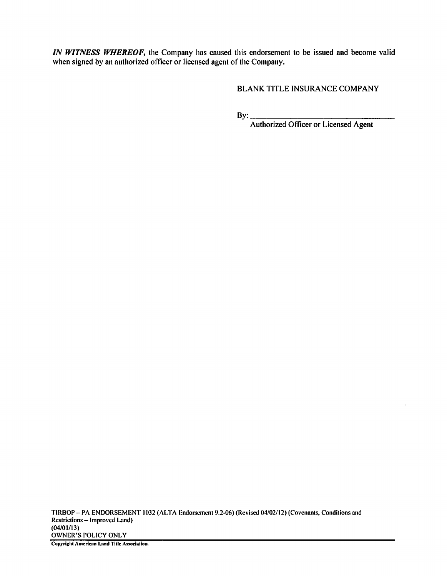IN WITNESS WHEREOF, the Company has caused this endorsement to be issued and become valid when signed by an authorized officer or licensed agent of the Company.

**BLANK TITLE INSURANCE COMPANY** 

 $By:$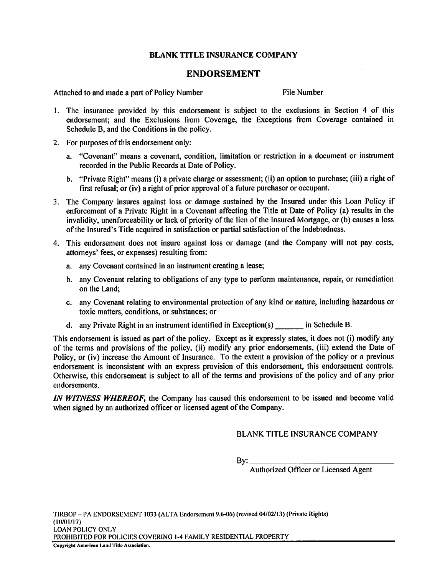#### **ENDORSEMENT**

Attached to and made a part of Policy Number

File Number

- 1. The insurance provided by this endorsement is subject to the exclusions in Section 4 of this endorsement: and the Exclusions from Coverage, the Exceptions from Coverage contained in Schedule B, and the Conditions in the policy.
- 2. For purposes of this endorsement only:
	- a. "Covenant" means a covenant, condition, limitation or restriction in a document or instrument recorded in the Public Records at Date of Policy.
	- b. "Private Right" means (i) a private charge or assessment; (ii) an option to purchase; (iii) a right of first refusal; or (iv) a right of prior approval of a future purchaser or occupant.
- 3. The Company insures against loss or damage sustained by the Insured under this Loan Policy if enforcement of a Private Right in a Covenant affecting the Title at Date of Policy (a) results in the invalidity, unenforceability or lack of priority of the lien of the Insured Mortgage, or (b) causes a loss of the Insured's Title acquired in satisfaction or partial satisfaction of the Indebtedness.
- 4. This endorsement does not insure against loss or damage (and the Company will not pay costs, attorneys' fees, or expenses) resulting from:
	- a. any Covenant contained in an instrument creating a lease;
	- b. any Covenant relating to obligations of any type to perform maintenance, repair, or remediation on the Land;
	- c. any Covenant relating to environmental protection of any kind or nature, including hazardous or toxic matters, conditions, or substances; or
	- d. any Private Right in an instrument identified in Exception(s) in Schedule B.

This endorsement is issued as part of the policy. Except as it expressly states, it does not (i) modify any of the terms and provisions of the policy, (ii) modify any prior endorsements, (iii) extend the Date of Policy, or (iv) increase the Amount of Insurance. To the extent a provision of the policy or a previous endorsement is inconsistent with an express provision of this endorsement, this endorsement controls. Otherwise, this endorsement is subject to all of the terms and provisions of the policy and of any prior endorsements.

IN WITNESS WHEREOF, the Company has caused this endorsement to be issued and become valid when signed by an authorized officer or licensed agent of the Company.

**BLANK TITLE INSURANCE COMPANY** 

By: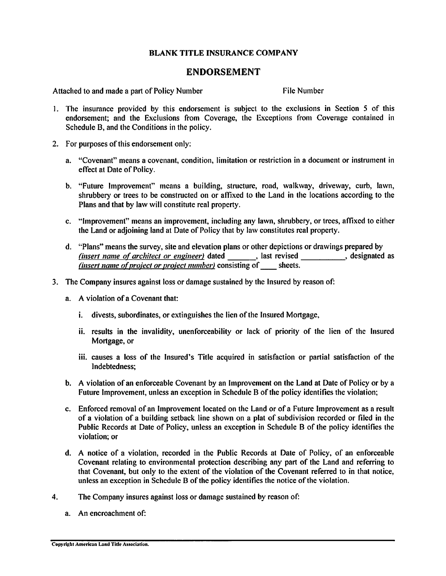## **ENDORSEMENT**

Attached to and made a part of Policy Number

**File Number** 

- 1. The insurance provided by this endorsement is subject to the exclusions in Section 5 of this endorsement; and the Exclusions from Coverage, the Exceptions from Coverage contained in Schedule B, and the Conditions in the policy.
- 2. For purposes of this endorsement only:
	- a. "Covenant" means a covenant, condition, limitation or restriction in a document or instrument in effect at Date of Policy.
	- b. "Future Improvement" means a building, structure, road, walkway, driveway, curb, lawn, shrubbery or trees to be constructed on or affixed to the Land in the locations according to the Plans and that by law will constitute real property.
	- c. "Improvement" means an improvement, including any lawn, shrubbery, or trees, affixed to either the Land or adjoining land at Date of Policy that by law constitutes real property.
	- d. "Plans" means the survey, site and elevation plans or other depictions or drawings prepared by (insert name of architect or engineer) dated \_\_\_\_\_\_\_, last revised \_\_\_\_\_\_\_\_\_, designated as (insert name of project or project number) consisting of \_\_\_\_\_ sheets.
- 3. The Company insures against loss or damage sustained by the Insured by reason of:
	- a. A violation of a Covenant that:
		- i. divests, subordinates, or extinguishes the lien of the Insured Mortgage,
		- ii. results in the invalidity, unenforceability or lack of priority of the lien of the Insured Mortgage, or
		- iii. causes a loss of the Insured's Title acquired in satisfaction or partial satisfaction of the Indebtedness:
	- b. A violation of an enforceable Covenant by an Improvement on the Land at Date of Policy or by a Future Improvement, unless an exception in Schedule B of the policy identifies the violation;
	- c. Enforced removal of an Improvement located on the Land or of a Future Improvement as a result of a violation of a building setback line shown on a plat of subdivision recorded or filed in the Public Records at Date of Policy, unless an exception in Schedule B of the policy identifies the violation: or
	- d. A notice of a violation, recorded in the Public Records at Date of Policy, of an enforceable Covenant relating to environmental protection describing any part of the Land and referring to that Covenant, but only to the extent of the violation of the Covenant referred to in that notice, unless an exception in Schedule B of the policy identifies the notice of the violation.
- $\overline{4}$ . The Company insures against loss or damage sustained by reason of:
	- a. An encroachment of: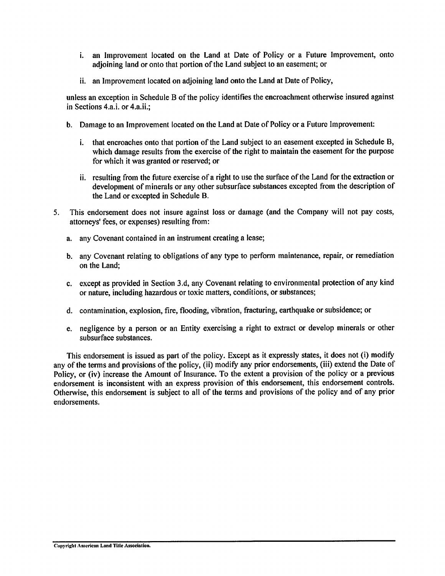- i. an Improvement located on the Land at Date of Policy or a Future Improvement, onto adjoining land or onto that portion of the Land subject to an easement; or
- ii. an Improvement located on adjoining land onto the Land at Date of Policy,

unless an exception in Schedule B of the policy identifies the encroachment otherwise insured against in Sections 4.a.i. or 4.a.ii.:

- b. Damage to an Improvement located on the Land at Date of Policy or a Future Improvement:
	- i. that encroaches onto that portion of the Land subject to an easement excepted in Schedule B, which damage results from the exercise of the right to maintain the easement for the purpose for which it was granted or reserved; or
	- ii. resulting from the future exercise of a right to use the surface of the Land for the extraction or development of minerals or any other subsurface substances excepted from the description of the Land or excepted in Schedule B.
- This endorsement does not insure against loss or damage (and the Company will not pay costs, 5. attorneys' fees, or expenses) resulting from:
	- a. any Covenant contained in an instrument creating a lease;
	- b. any Covenant relating to obligations of any type to perform maintenance, repair, or remediation on the Land:
	- c. except as provided in Section 3.d, any Covenant relating to environmental protection of any kind or nature, including hazardous or toxic matters, conditions, or substances;
	- d. contamination, explosion, fire, flooding, vibration, fracturing, earthquake or subsidence; or
	- e. negligence by a person or an Entity exercising a right to extract or develop minerals or other subsurface substances.

This endorsement is issued as part of the policy. Except as it expressly states, it does not (i) modify any of the terms and provisions of the policy, (ii) modify any prior endorsements, (iii) extend the Date of Policy, or (iv) increase the Amount of Insurance. To the extent a provision of the policy or a previous endorsement is inconsistent with an express provision of this endorsement, this endorsement controls. Otherwise, this endorsement is subject to all of the terms and provisions of the policy and of any prior endorsements.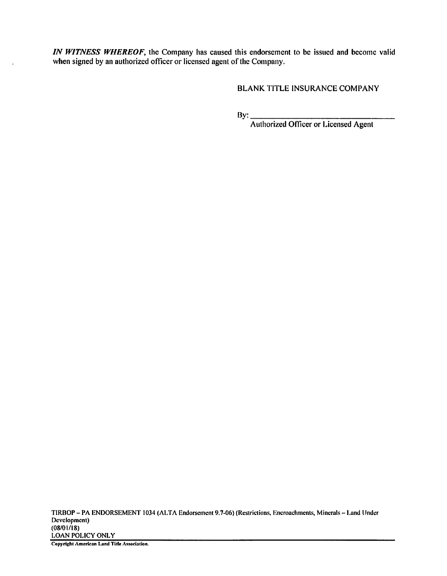IN WITNESS WHEREOF, the Company has caused this endorsement to be issued and become valid when signed by an authorized officer or licensed agent of the Company.

**BLANK TITLE INSURANCE COMPANY**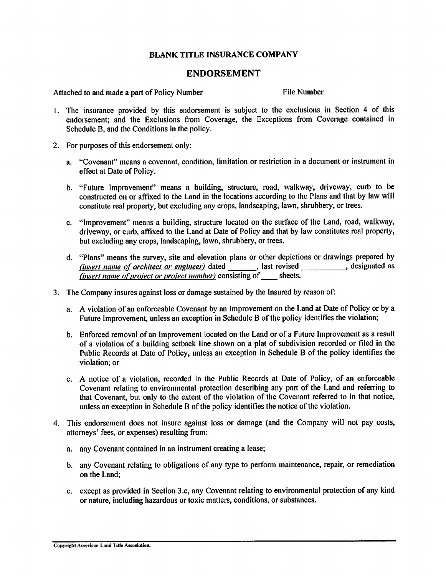### **ENDORSEMENT**

Attached to and made a part of Policy Number

File Number

- 1. The insurance provided by this endorsement is subject to the exclusions in Section 4 of this endorsement; and the Exclusions from Coverage, the Exceptions from Coverage contained in Schedule B, and the Conditions in the policy.
- 2. For purposes of this endorsement only:
	- a. "Covenant" means a covenant, condition, limitation or restriction in a document or instrument in effect at Date of Policy.
	- b. "Future Improvement" means a building, structure, road, walkway, driveway, curb to be constructed on or affixed to the Land in the locations according to the Plans and that by law will constitute real property, but excluding any crops, landscaping, lawn, shrubbery, or trees.
	- c. "Improvement" means a building, structure located on the surface of the Land, road, walkway, driveway, or curb, affixed to the Land at Date of Policy and that by law constitutes real property, but excluding any crops, landscaping, lawn, shrubbery, or trees.
	- d. "Plans" means the survey, site and elevation plans or other depictions or drawings prepared by  $f$  (insert name of architect or engineer) dated  $\frac{1}{f}$  last revised  $\frac{1}{f}$  designated as (insert name of project or project number) consisting of sheets.
- 3. The Company insures against loss or damage sustained by the Insured by reason of:
	- a. A violation of an enforceable Covenant by an Improvement on the Land at Date of Policy or by a Future Improvement, unless an exception in Schedule B of the policy identifies the violation;
	- b. Enforced removal of an Improvement located on the Land or of a Future Improvement as a result of a violation of a building setback line shown on a plat of subdivision recorded or filed in the Public Records at Date of Policy, unless an exception in Schedule B of the policy identifies the violation; or
	- c. A notice of a violation, recorded in the Public Records at Date of Policy, of an enforceable Covenant relating to environmental protection describing any part of the Land and referring to that Covenant, but only to the extent of the violation of the Covenant referred to in that notice, unless an exception in Schedule B of the policy identifies the notice of the violation.
- 4. This endorsement does not insure against loss or damage (and the Company will not pay costs, attorneys' fees, or expenses) resulting from:
	- a. any Covenant contained in an instrument creating a lease;
	- b. any Covenant relating to obligations of any type to perform maintenance, repair, or remediation on the Land:
	- c. except as provided in Section 3.c, any Covenant relating to environmental protection of any kind or nature, including hazardous or toxic matters, conditions, or substances.